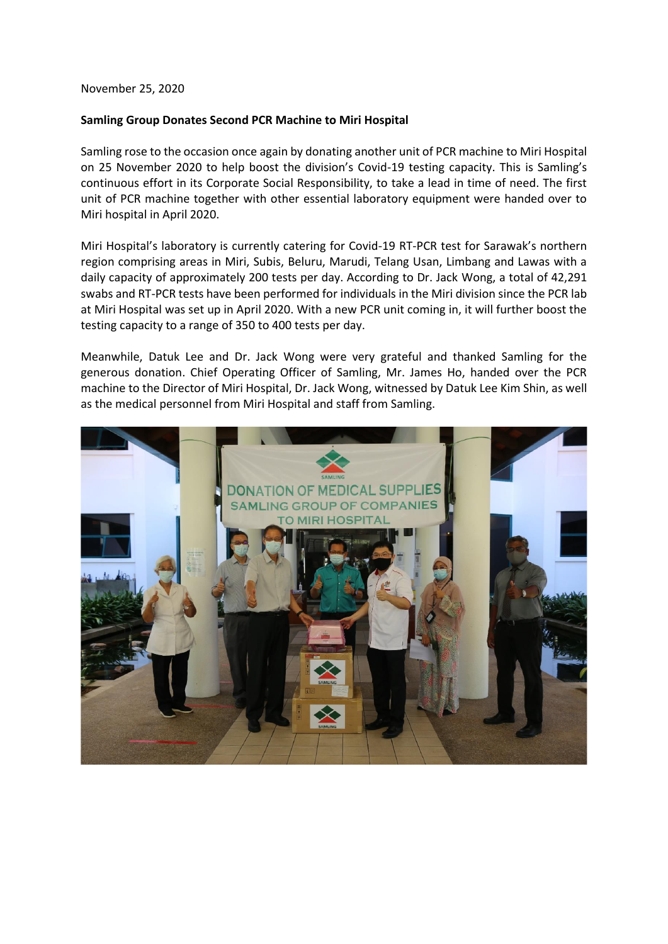November 25, 2020

## **Samling Group Donates Second PCR Machine to Miri Hospital**

Samling rose to the occasion once again by donating another unit of PCR machine to Miri Hospital on 25 November 2020 to help boost the division's Covid-19 testing capacity. This is Samling's continuous effort in its Corporate Social Responsibility, to take a lead in time of need. The first unit of PCR machine together with other essential laboratory equipment were handed over to Miri hospital in April 2020.

Miri Hospital's laboratory is currently catering for Covid-19 RT-PCR test for Sarawak's northern region comprising areas in Miri, Subis, Beluru, Marudi, Telang Usan, Limbang and Lawas with a daily capacity of approximately 200 tests per day. According to Dr. Jack Wong, a total of 42,291 swabs and RT-PCR tests have been performed for individuals in the Miri division since the PCR lab at Miri Hospital was set up in April 2020. With a new PCR unit coming in, it will further boost the testing capacity to a range of 350 to 400 tests per day.

Meanwhile, Datuk Lee and Dr. Jack Wong were very grateful and thanked Samling for the generous donation. Chief Operating Officer of Samling, Mr. James Ho, handed over the PCR machine to the Director of Miri Hospital, Dr. Jack Wong, witnessed by Datuk Lee Kim Shin, as well as the medical personnel from Miri Hospital and staff from Samling.